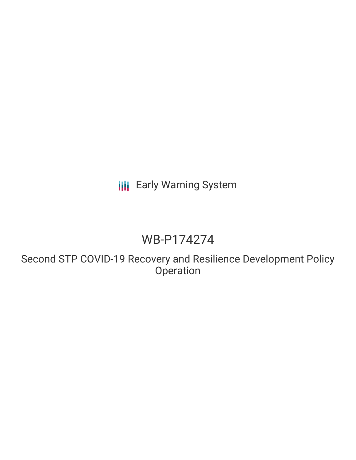**III** Early Warning System

# WB-P174274

Second STP COVID-19 Recovery and Resilience Development Policy **Operation**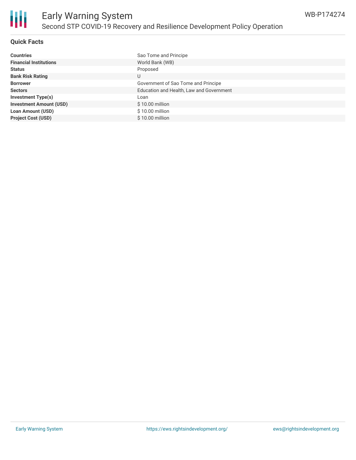

### **Quick Facts**

| <b>Countries</b>               | Sao Tome and Principe                    |
|--------------------------------|------------------------------------------|
| <b>Financial Institutions</b>  | World Bank (WB)                          |
| <b>Status</b>                  | Proposed                                 |
| <b>Bank Risk Rating</b>        | U                                        |
| <b>Borrower</b>                | Government of Sao Tome and Principe      |
| <b>Sectors</b>                 | Education and Health, Law and Government |
| <b>Investment Type(s)</b>      | Loan                                     |
| <b>Investment Amount (USD)</b> | $$10.00$ million                         |
| <b>Loan Amount (USD)</b>       | \$10.00 million                          |
| <b>Project Cost (USD)</b>      | $$10.00$ million                         |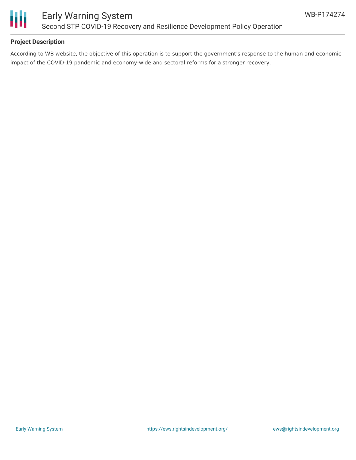

## **Project Description**

According to WB website, the objective of this operation is to support the government's response to the human and economic impact of the COVID-19 pandemic and economy-wide and sectoral reforms for a stronger recovery.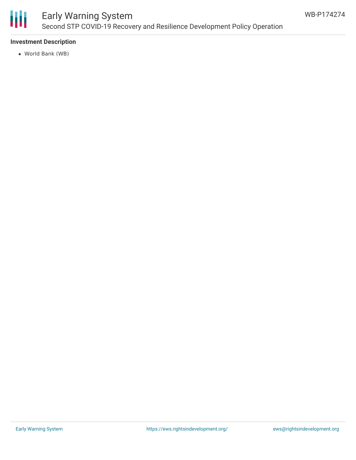

# Early Warning System Second STP COVID-19 Recovery and Resilience Development Policy Operation

## **Investment Description**

World Bank (WB)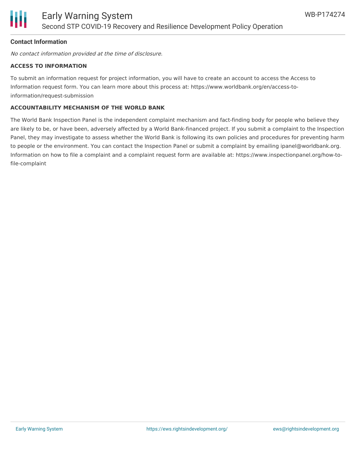

## **Contact Information**

No contact information provided at the time of disclosure.

#### **ACCESS TO INFORMATION**

To submit an information request for project information, you will have to create an account to access the Access to Information request form. You can learn more about this process at: https://www.worldbank.org/en/access-toinformation/request-submission

#### **ACCOUNTABILITY MECHANISM OF THE WORLD BANK**

The World Bank Inspection Panel is the independent complaint mechanism and fact-finding body for people who believe they are likely to be, or have been, adversely affected by a World Bank-financed project. If you submit a complaint to the Inspection Panel, they may investigate to assess whether the World Bank is following its own policies and procedures for preventing harm to people or the environment. You can contact the Inspection Panel or submit a complaint by emailing ipanel@worldbank.org. Information on how to file a complaint and a complaint request form are available at: https://www.inspectionpanel.org/how-tofile-complaint